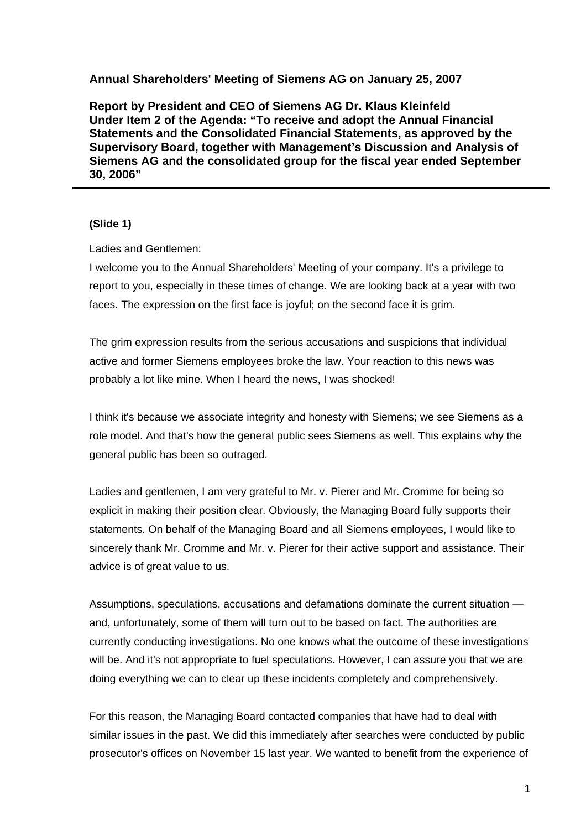#### **Annual Shareholders' Meeting of Siemens AG on January 25, 2007**

**Report by President and CEO of Siemens AG Dr. Klaus Kleinfeld Under Item 2 of the Agenda: "To receive and adopt the Annual Financial Statements and the Consolidated Financial Statements, as approved by the Supervisory Board, together with Management's Discussion and Analysis of Siemens AG and the consolidated group for the fiscal year ended September 30, 2006"** 

#### **(Slide 1)**

Ladies and Gentlemen:

I welcome you to the Annual Shareholders' Meeting of your company. It's a privilege to report to you, especially in these times of change. We are looking back at a year with two faces. The expression on the first face is joyful; on the second face it is grim.

The grim expression results from the serious accusations and suspicions that individual active and former Siemens employees broke the law. Your reaction to this news was probably a lot like mine. When I heard the news, I was shocked!

I think it's because we associate integrity and honesty with Siemens; we see Siemens as a role model. And that's how the general public sees Siemens as well. This explains why the general public has been so outraged.

Ladies and gentlemen, I am very grateful to Mr. v. Pierer and Mr. Cromme for being so explicit in making their position clear. Obviously, the Managing Board fully supports their statements. On behalf of the Managing Board and all Siemens employees, I would like to sincerely thank Mr. Cromme and Mr. v. Pierer for their active support and assistance. Their advice is of great value to us.

Assumptions, speculations, accusations and defamations dominate the current situation and, unfortunately, some of them will turn out to be based on fact. The authorities are currently conducting investigations. No one knows what the outcome of these investigations will be. And it's not appropriate to fuel speculations. However, I can assure you that we are doing everything we can to clear up these incidents completely and comprehensively.

For this reason, the Managing Board contacted companies that have had to deal with similar issues in the past. We did this immediately after searches were conducted by public prosecutor's offices on November 15 last year. We wanted to benefit from the experience of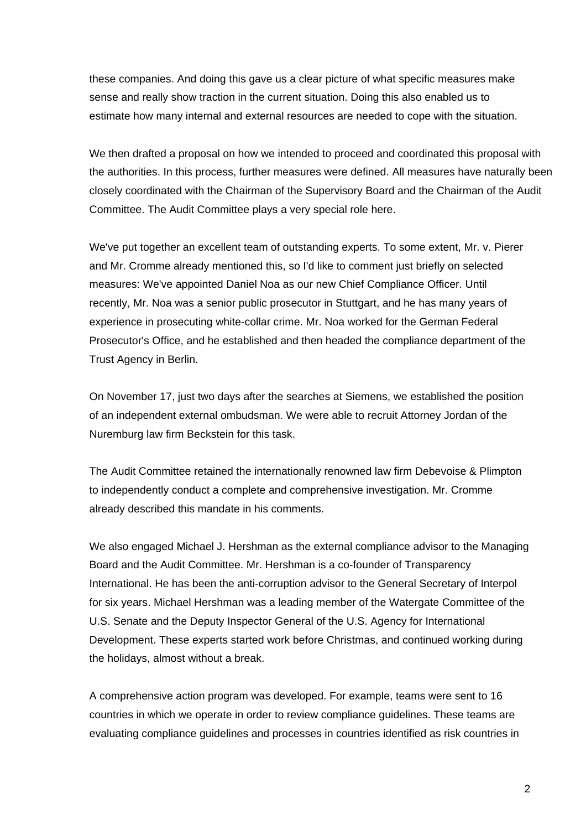these companies. And doing this gave us a clear picture of what specific measures make sense and really show traction in the current situation. Doing this also enabled us to estimate how many internal and external resources are needed to cope with the situation.

We then drafted a proposal on how we intended to proceed and coordinated this proposal with the authorities. In this process, further measures were defined. All measures have naturally been closely coordinated with the Chairman of the Supervisory Board and the Chairman of the Audit Committee. The Audit Committee plays a very special role here.

We've put together an excellent team of outstanding experts. To some extent, Mr. v. Pierer and Mr. Cromme already mentioned this, so I'd like to comment just briefly on selected measures: We've appointed Daniel Noa as our new Chief Compliance Officer. Until recently, Mr. Noa was a senior public prosecutor in Stuttgart, and he has many years of experience in prosecuting white-collar crime. Mr. Noa worked for the German Federal Prosecutor's Office, and he established and then headed the compliance department of the Trust Agency in Berlin.

On November 17, just two days after the searches at Siemens, we established the position of an independent external ombudsman. We were able to recruit Attorney Jordan of the Nuremburg law firm Beckstein for this task.

The Audit Committee retained the internationally renowned law firm Debevoise & Plimpton to independently conduct a complete and comprehensive investigation. Mr. Cromme already described this mandate in his comments.

We also engaged Michael J. Hershman as the external compliance advisor to the Managing Board and the Audit Committee. Mr. Hershman is a co-founder of Transparency International. He has been the anti-corruption advisor to the General Secretary of Interpol for six years. Michael Hershman was a leading member of the Watergate Committee of the U.S. Senate and the Deputy Inspector General of the U.S. Agency for International Development. These experts started work before Christmas, and continued working during the holidays, almost without a break.

A comprehensive action program was developed. For example, teams were sent to 16 countries in which we operate in order to review compliance guidelines. These teams are evaluating compliance guidelines and processes in countries identified as risk countries in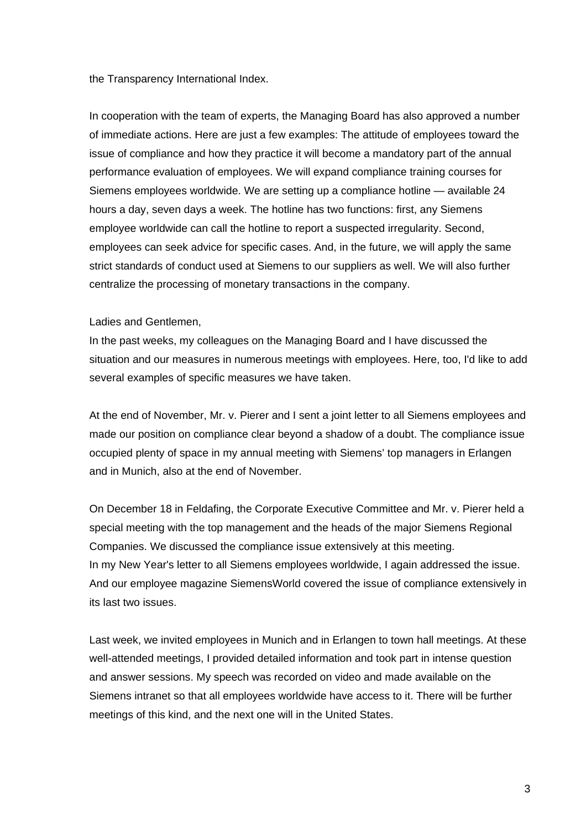the Transparency International Index.

In cooperation with the team of experts, the Managing Board has also approved a number of immediate actions. Here are just a few examples: The attitude of employees toward the issue of compliance and how they practice it will become a mandatory part of the annual performance evaluation of employees. We will expand compliance training courses for Siemens employees worldwide. We are setting up a compliance hotline — available 24 hours a day, seven days a week. The hotline has two functions: first, any Siemens employee worldwide can call the hotline to report a suspected irregularity. Second, employees can seek advice for specific cases. And, in the future, we will apply the same strict standards of conduct used at Siemens to our suppliers as well. We will also further centralize the processing of monetary transactions in the company.

#### Ladies and Gentlemen,

In the past weeks, my colleagues on the Managing Board and I have discussed the situation and our measures in numerous meetings with employees. Here, too, I'd like to add several examples of specific measures we have taken.

At the end of November, Mr. v. Pierer and I sent a joint letter to all Siemens employees and made our position on compliance clear beyond a shadow of a doubt. The compliance issue occupied plenty of space in my annual meeting with Siemens' top managers in Erlangen and in Munich, also at the end of November.

On December 18 in Feldafing, the Corporate Executive Committee and Mr. v. Pierer held a special meeting with the top management and the heads of the major Siemens Regional Companies. We discussed the compliance issue extensively at this meeting. In my New Year's letter to all Siemens employees worldwide, I again addressed the issue. And our employee magazine SiemensWorld covered the issue of compliance extensively in its last two issues.

Last week, we invited employees in Munich and in Erlangen to town hall meetings. At these well-attended meetings, I provided detailed information and took part in intense question and answer sessions. My speech was recorded on video and made available on the Siemens intranet so that all employees worldwide have access to it. There will be further meetings of this kind, and the next one will in the United States.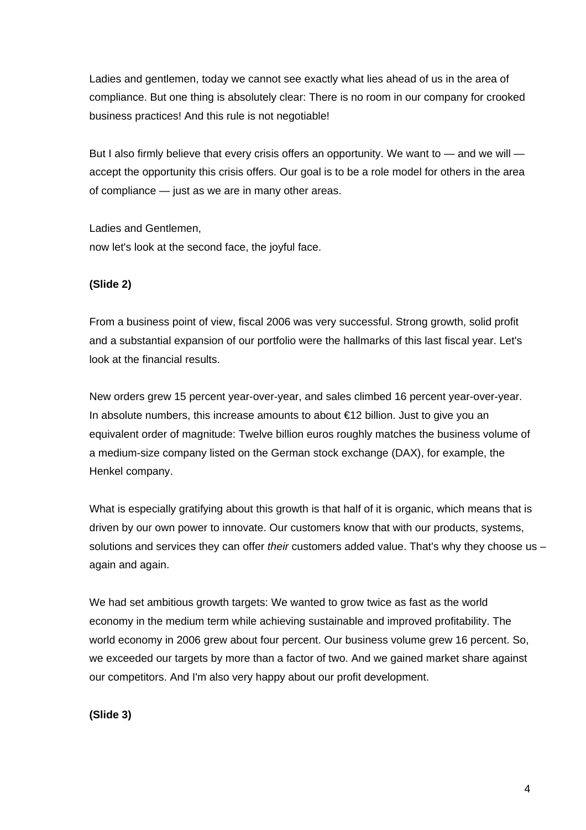Ladies and gentlemen, today we cannot see exactly what lies ahead of us in the area of compliance. But one thing is absolutely clear: There is no room in our company for crooked business practices! And this rule is not negotiable!

But I also firmly believe that every crisis offers an opportunity. We want to — and we will accept the opportunity this crisis offers. Our goal is to be a role model for others in the area of compliance — just as we are in many other areas.

Ladies and Gentlemen, now let's look at the second face, the joyful face.

# **(Slide 2)**

From a business point of view, fiscal 2006 was very successful. Strong growth, solid profit and a substantial expansion of our portfolio were the hallmarks of this last fiscal year. Let's look at the financial results.

New orders grew 15 percent year-over-year, and sales climbed 16 percent year-over-year. In absolute numbers, this increase amounts to about €12 billion. Just to give you an equivalent order of magnitude: Twelve billion euros roughly matches the business volume of a medium-size company listed on the German stock exchange (DAX), for example, the Henkel company.

What is especially gratifying about this growth is that half of it is organic, which means that is driven by our own power to innovate. Our customers know that with our products, systems, solutions and services they can offer *their* customers added value. That's why they choose us – again and again.

We had set ambitious growth targets: We wanted to grow twice as fast as the world economy in the medium term while achieving sustainable and improved profitability. The world economy in 2006 grew about four percent. Our business volume grew 16 percent. So, we exceeded our targets by more than a factor of two. And we gained market share against our competitors. And I'm also very happy about our profit development.

**(Slide 3)**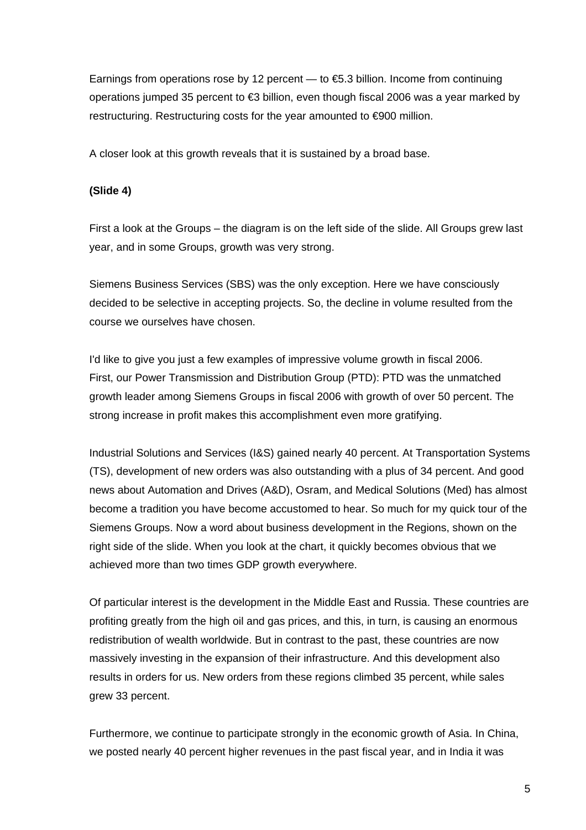Earnings from operations rose by 12 percent — to  $\text{\textsterling}5.3$  billion. Income from continuing operations jumped 35 percent to €3 billion, even though fiscal 2006 was a year marked by restructuring. Restructuring costs for the year amounted to €900 million.

A closer look at this growth reveals that it is sustained by a broad base.

#### **(Slide 4)**

First a look at the Groups – the diagram is on the left side of the slide. All Groups grew last year, and in some Groups, growth was very strong.

Siemens Business Services (SBS) was the only exception. Here we have consciously decided to be selective in accepting projects. So, the decline in volume resulted from the course we ourselves have chosen.

I'd like to give you just a few examples of impressive volume growth in fiscal 2006. First, our Power Transmission and Distribution Group (PTD): PTD was the unmatched growth leader among Siemens Groups in fiscal 2006 with growth of over 50 percent. The strong increase in profit makes this accomplishment even more gratifying.

Industrial Solutions and Services (I&S) gained nearly 40 percent. At Transportation Systems (TS), development of new orders was also outstanding with a plus of 34 percent. And good news about Automation and Drives (A&D), Osram, and Medical Solutions (Med) has almost become a tradition you have become accustomed to hear. So much for my quick tour of the Siemens Groups. Now a word about business development in the Regions, shown on the right side of the slide. When you look at the chart, it quickly becomes obvious that we achieved more than two times GDP growth everywhere.

Of particular interest is the development in the Middle East and Russia. These countries are profiting greatly from the high oil and gas prices, and this, in turn, is causing an enormous redistribution of wealth worldwide. But in contrast to the past, these countries are now massively investing in the expansion of their infrastructure. And this development also results in orders for us. New orders from these regions climbed 35 percent, while sales grew 33 percent.

Furthermore, we continue to participate strongly in the economic growth of Asia. In China, we posted nearly 40 percent higher revenues in the past fiscal year, and in India it was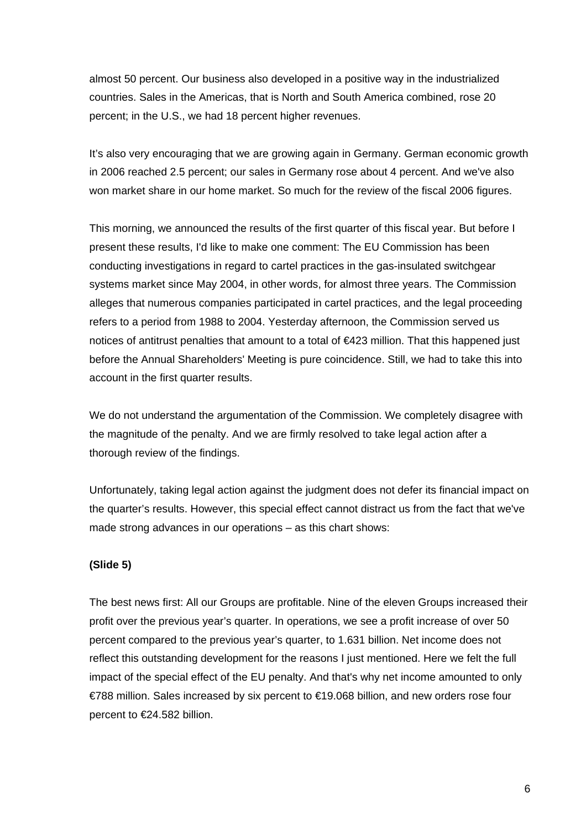almost 50 percent. Our business also developed in a positive way in the industrialized countries. Sales in the Americas, that is North and South America combined, rose 20 percent; in the U.S., we had 18 percent higher revenues.

It's also very encouraging that we are growing again in Germany. German economic growth in 2006 reached 2.5 percent; our sales in Germany rose about 4 percent. And we've also won market share in our home market. So much for the review of the fiscal 2006 figures.

This morning, we announced the results of the first quarter of this fiscal year. But before I present these results, I'd like to make one comment: The EU Commission has been conducting investigations in regard to cartel practices in the gas-insulated switchgear systems market since May 2004, in other words, for almost three years. The Commission alleges that numerous companies participated in cartel practices, and the legal proceeding refers to a period from 1988 to 2004. Yesterday afternoon, the Commission served us notices of antitrust penalties that amount to a total of €423 million. That this happened just before the Annual Shareholders' Meeting is pure coincidence. Still, we had to take this into account in the first quarter results.

We do not understand the argumentation of the Commission. We completely disagree with the magnitude of the penalty. And we are firmly resolved to take legal action after a thorough review of the findings.

Unfortunately, taking legal action against the judgment does not defer its financial impact on the quarter's results. However, this special effect cannot distract us from the fact that we've made strong advances in our operations – as this chart shows:

## **(Slide 5)**

The best news first: All our Groups are profitable. Nine of the eleven Groups increased their profit over the previous year's quarter. In operations, we see a profit increase of over 50 percent compared to the previous year's quarter, to 1.631 billion. Net income does not reflect this outstanding development for the reasons I just mentioned. Here we felt the full impact of the special effect of the EU penalty. And that's why net income amounted to only €788 million. Sales increased by six percent to €19.068 billion, and new orders rose four percent to €24.582 billion.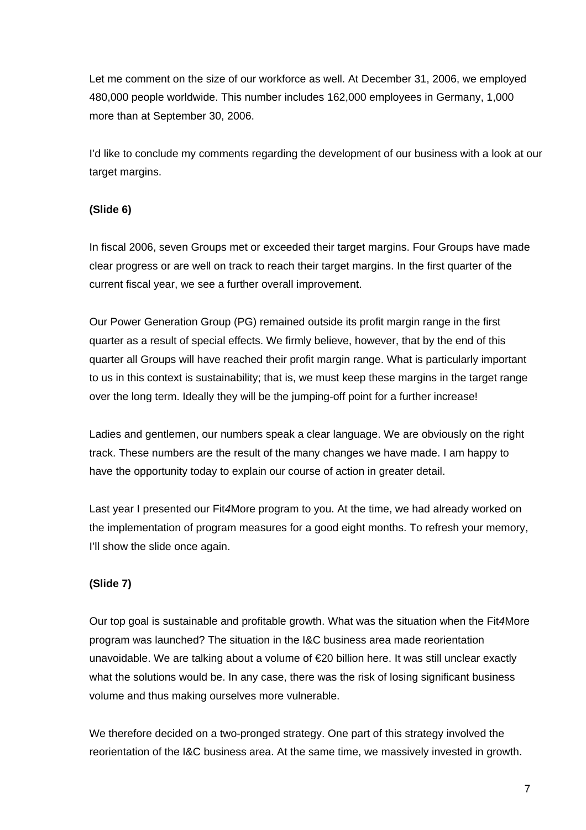Let me comment on the size of our workforce as well. At December 31, 2006, we employed 480,000 people worldwide. This number includes 162,000 employees in Germany, 1,000 more than at September 30, 2006.

I'd like to conclude my comments regarding the development of our business with a look at our target margins.

# **(Slide 6)**

In fiscal 2006, seven Groups met or exceeded their target margins. Four Groups have made clear progress or are well on track to reach their target margins. In the first quarter of the current fiscal year, we see a further overall improvement.

Our Power Generation Group (PG) remained outside its profit margin range in the first quarter as a result of special effects. We firmly believe, however, that by the end of this quarter all Groups will have reached their profit margin range. What is particularly important to us in this context is sustainability; that is, we must keep these margins in the target range over the long term. Ideally they will be the jumping-off point for a further increase!

Ladies and gentlemen, our numbers speak a clear language. We are obviously on the right track. These numbers are the result of the many changes we have made. I am happy to have the opportunity today to explain our course of action in greater detail.

Last year I presented our Fit*4*More program to you. At the time, we had already worked on the implementation of program measures for a good eight months. To refresh your memory, I'll show the slide once again.

# **(Slide 7)**

Our top goal is sustainable and profitable growth. What was the situation when the Fit*4*More program was launched? The situation in the I&C business area made reorientation unavoidable. We are talking about a volume of €20 billion here. It was still unclear exactly what the solutions would be. In any case, there was the risk of losing significant business volume and thus making ourselves more vulnerable.

We therefore decided on a two-pronged strategy. One part of this strategy involved the reorientation of the I&C business area. At the same time, we massively invested in growth.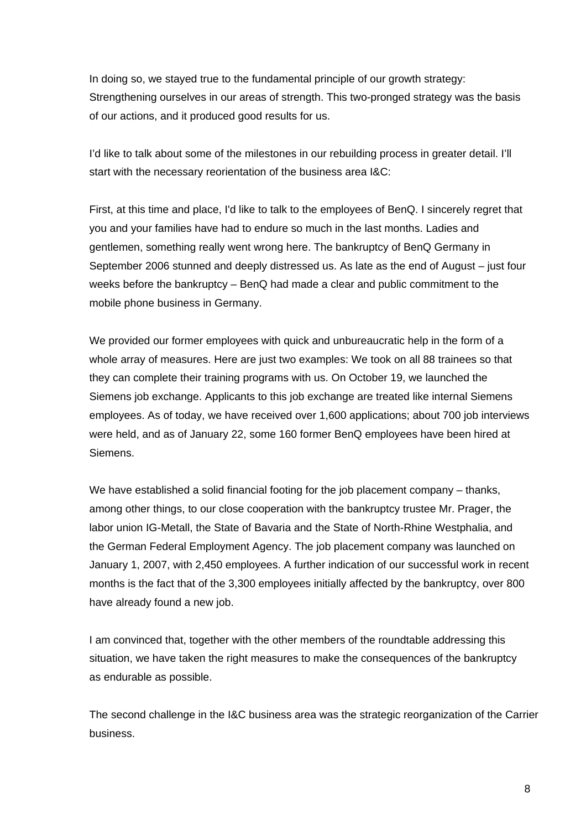In doing so, we stayed true to the fundamental principle of our growth strategy: Strengthening ourselves in our areas of strength. This two-pronged strategy was the basis of our actions, and it produced good results for us.

I'd like to talk about some of the milestones in our rebuilding process in greater detail. I'll start with the necessary reorientation of the business area I&C:

First, at this time and place, I'd like to talk to the employees of BenQ. I sincerely regret that you and your families have had to endure so much in the last months. Ladies and gentlemen, something really went wrong here. The bankruptcy of BenQ Germany in September 2006 stunned and deeply distressed us. As late as the end of August – just four weeks before the bankruptcy – BenQ had made a clear and public commitment to the mobile phone business in Germany.

We provided our former employees with quick and unbureaucratic help in the form of a whole array of measures. Here are just two examples: We took on all 88 trainees so that they can complete their training programs with us. On October 19, we launched the Siemens job exchange. Applicants to this job exchange are treated like internal Siemens employees. As of today, we have received over 1,600 applications; about 700 job interviews were held, and as of January 22, some 160 former BenQ employees have been hired at Siemens.

We have established a solid financial footing for the job placement company – thanks, among other things, to our close cooperation with the bankruptcy trustee Mr. Prager, the labor union IG-Metall, the State of Bavaria and the State of North-Rhine Westphalia, and the German Federal Employment Agency. The job placement company was launched on January 1, 2007, with 2,450 employees. A further indication of our successful work in recent months is the fact that of the 3,300 employees initially affected by the bankruptcy, over 800 have already found a new job.

I am convinced that, together with the other members of the roundtable addressing this situation, we have taken the right measures to make the consequences of the bankruptcy as endurable as possible.

The second challenge in the I&C business area was the strategic reorganization of the Carrier business.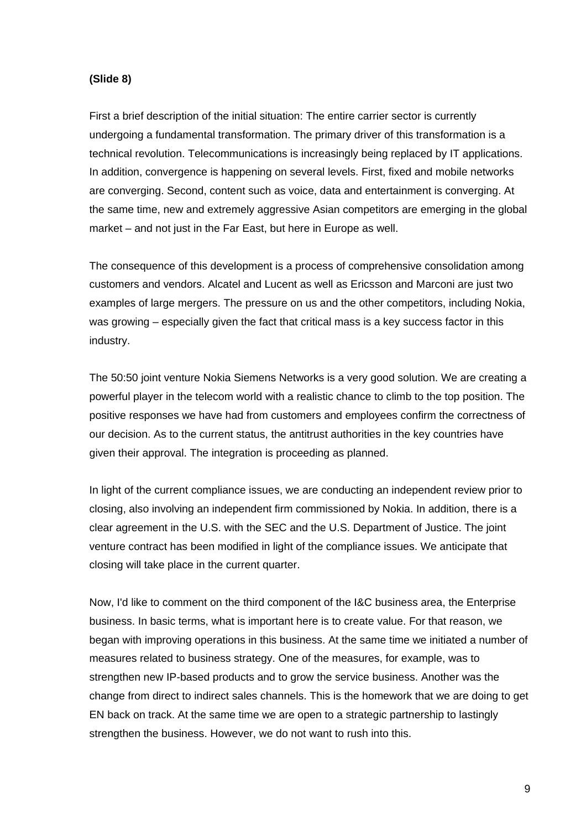#### **(Slide 8)**

First a brief description of the initial situation: The entire carrier sector is currently undergoing a fundamental transformation. The primary driver of this transformation is a technical revolution. Telecommunications is increasingly being replaced by IT applications. In addition, convergence is happening on several levels. First, fixed and mobile networks are converging. Second, content such as voice, data and entertainment is converging. At the same time, new and extremely aggressive Asian competitors are emerging in the global market – and not just in the Far East, but here in Europe as well.

The consequence of this development is a process of comprehensive consolidation among customers and vendors. Alcatel and Lucent as well as Ericsson and Marconi are just two examples of large mergers. The pressure on us and the other competitors, including Nokia, was growing – especially given the fact that critical mass is a key success factor in this industry.

The 50:50 joint venture Nokia Siemens Networks is a very good solution. We are creating a powerful player in the telecom world with a realistic chance to climb to the top position. The positive responses we have had from customers and employees confirm the correctness of our decision. As to the current status, the antitrust authorities in the key countries have given their approval. The integration is proceeding as planned.

In light of the current compliance issues, we are conducting an independent review prior to closing, also involving an independent firm commissioned by Nokia. In addition, there is a clear agreement in the U.S. with the SEC and the U.S. Department of Justice. The joint venture contract has been modified in light of the compliance issues. We anticipate that closing will take place in the current quarter.

Now, I'd like to comment on the third component of the I&C business area, the Enterprise business. In basic terms, what is important here is to create value. For that reason, we began with improving operations in this business. At the same time we initiated a number of measures related to business strategy. One of the measures, for example, was to strengthen new IP-based products and to grow the service business. Another was the change from direct to indirect sales channels. This is the homework that we are doing to get EN back on track. At the same time we are open to a strategic partnership to lastingly strengthen the business. However, we do not want to rush into this.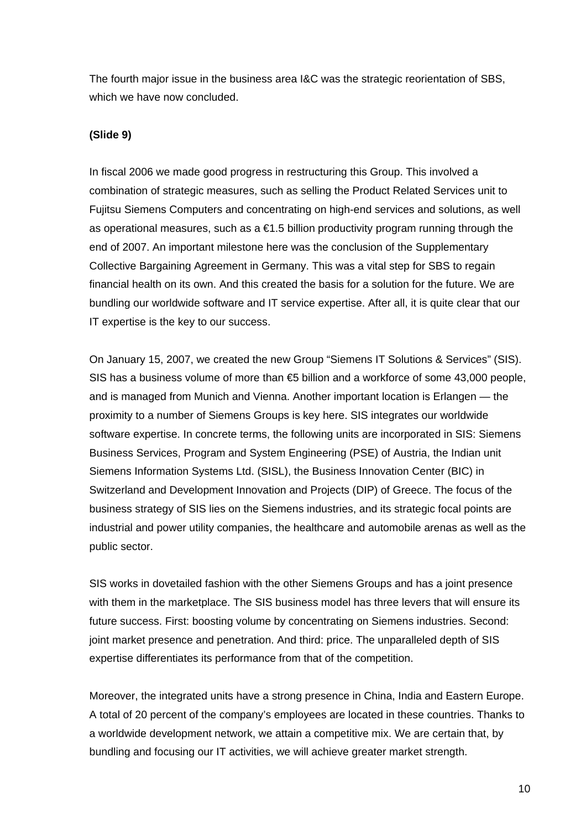The fourth major issue in the business area I&C was the strategic reorientation of SBS, which we have now concluded.

## **(Slide 9)**

In fiscal 2006 we made good progress in restructuring this Group. This involved a combination of strategic measures, such as selling the Product Related Services unit to Fujitsu Siemens Computers and concentrating on high-end services and solutions, as well as operational measures, such as a €1.5 billion productivity program running through the end of 2007. An important milestone here was the conclusion of the Supplementary Collective Bargaining Agreement in Germany. This was a vital step for SBS to regain financial health on its own. And this created the basis for a solution for the future. We are bundling our worldwide software and IT service expertise. After all, it is quite clear that our IT expertise is the key to our success.

On January 15, 2007, we created the new Group "Siemens IT Solutions & Services" (SIS). SIS has a business volume of more than €5 billion and a workforce of some 43,000 people, and is managed from Munich and Vienna. Another important location is Erlangen — the proximity to a number of Siemens Groups is key here. SIS integrates our worldwide software expertise. In concrete terms, the following units are incorporated in SIS: Siemens Business Services, Program and System Engineering (PSE) of Austria, the Indian unit Siemens Information Systems Ltd. (SISL), the Business Innovation Center (BIC) in Switzerland and Development Innovation and Projects (DIP) of Greece. The focus of the business strategy of SIS lies on the Siemens industries, and its strategic focal points are industrial and power utility companies, the healthcare and automobile arenas as well as the public sector.

SIS works in dovetailed fashion with the other Siemens Groups and has a joint presence with them in the marketplace. The SIS business model has three levers that will ensure its future success. First: boosting volume by concentrating on Siemens industries. Second: joint market presence and penetration. And third: price. The unparalleled depth of SIS expertise differentiates its performance from that of the competition.

Moreover, the integrated units have a strong presence in China, India and Eastern Europe. A total of 20 percent of the company's employees are located in these countries. Thanks to a worldwide development network, we attain a competitive mix. We are certain that, by bundling and focusing our IT activities, we will achieve greater market strength.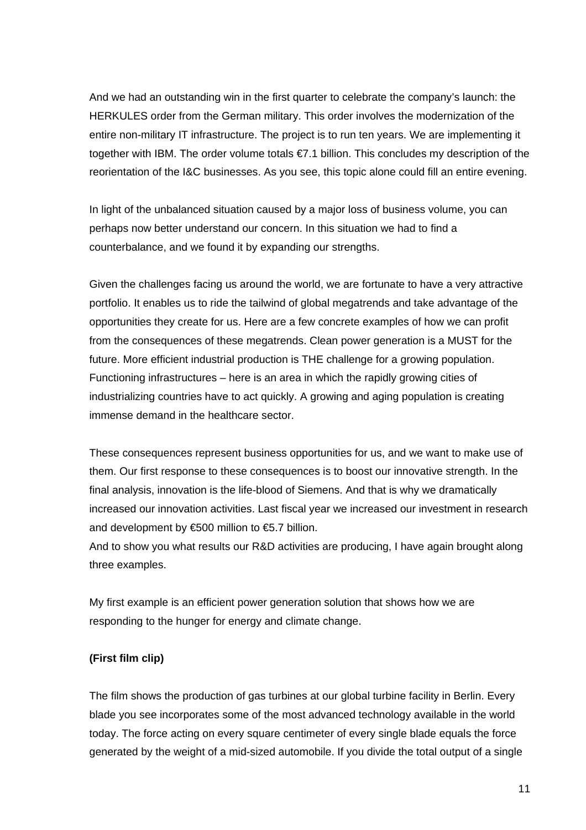And we had an outstanding win in the first quarter to celebrate the company's launch: the HERKULES order from the German military. This order involves the modernization of the entire non-military IT infrastructure. The project is to run ten years. We are implementing it together with IBM. The order volume totals €7.1 billion. This concludes my description of the reorientation of the I&C businesses. As you see, this topic alone could fill an entire evening.

In light of the unbalanced situation caused by a major loss of business volume, you can perhaps now better understand our concern. In this situation we had to find a counterbalance, and we found it by expanding our strengths.

Given the challenges facing us around the world, we are fortunate to have a very attractive portfolio. It enables us to ride the tailwind of global megatrends and take advantage of the opportunities they create for us. Here are a few concrete examples of how we can profit from the consequences of these megatrends. Clean power generation is a MUST for the future. More efficient industrial production is THE challenge for a growing population. Functioning infrastructures – here is an area in which the rapidly growing cities of industrializing countries have to act quickly. A growing and aging population is creating immense demand in the healthcare sector.

These consequences represent business opportunities for us, and we want to make use of them. Our first response to these consequences is to boost our innovative strength. In the final analysis, innovation is the life-blood of Siemens. And that is why we dramatically increased our innovation activities. Last fiscal year we increased our investment in research and development by  $\epsilon$ 500 million to  $\epsilon$ 5.7 billion.

And to show you what results our R&D activities are producing, I have again brought along three examples.

My first example is an efficient power generation solution that shows how we are responding to the hunger for energy and climate change.

## **(First film clip)**

The film shows the production of gas turbines at our global turbine facility in Berlin. Every blade you see incorporates some of the most advanced technology available in the world today. The force acting on every square centimeter of every single blade equals the force generated by the weight of a mid-sized automobile. If you divide the total output of a single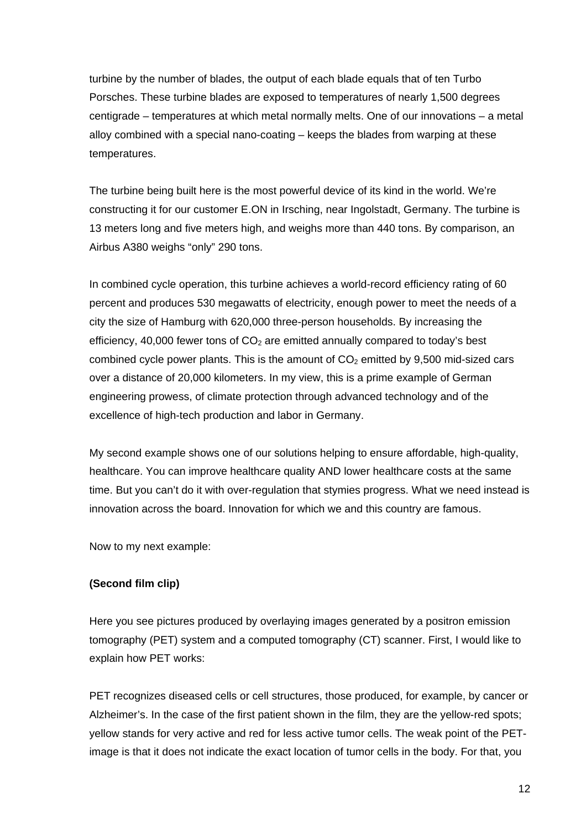turbine by the number of blades, the output of each blade equals that of ten Turbo Porsches. These turbine blades are exposed to temperatures of nearly 1,500 degrees centigrade – temperatures at which metal normally melts. One of our innovations – a metal alloy combined with a special nano-coating – keeps the blades from warping at these temperatures.

The turbine being built here is the most powerful device of its kind in the world. We're constructing it for our customer E.ON in Irsching, near Ingolstadt, Germany. The turbine is 13 meters long and five meters high, and weighs more than 440 tons. By comparison, an Airbus A380 weighs "only" 290 tons.

In combined cycle operation, this turbine achieves a world-record efficiency rating of 60 percent and produces 530 megawatts of electricity, enough power to meet the needs of a city the size of Hamburg with 620,000 three-person households. By increasing the efficiency, 40,000 fewer tons of  $CO<sub>2</sub>$  are emitted annually compared to today's best combined cycle power plants. This is the amount of  $CO<sub>2</sub>$  emitted by 9,500 mid-sized cars over a distance of 20,000 kilometers. In my view, this is a prime example of German engineering prowess, of climate protection through advanced technology and of the excellence of high-tech production and labor in Germany.

My second example shows one of our solutions helping to ensure affordable, high-quality, healthcare. You can improve healthcare quality AND lower healthcare costs at the same time. But you can't do it with over-regulation that stymies progress. What we need instead is innovation across the board. Innovation for which we and this country are famous.

Now to my next example:

## **(Second film clip)**

Here you see pictures produced by overlaying images generated by a positron emission tomography (PET) system and a computed tomography (CT) scanner. First, I would like to explain how PET works:

PET recognizes diseased cells or cell structures, those produced, for example, by cancer or Alzheimer's. In the case of the first patient shown in the film, they are the yellow-red spots; yellow stands for very active and red for less active tumor cells. The weak point of the PETimage is that it does not indicate the exact location of tumor cells in the body. For that, you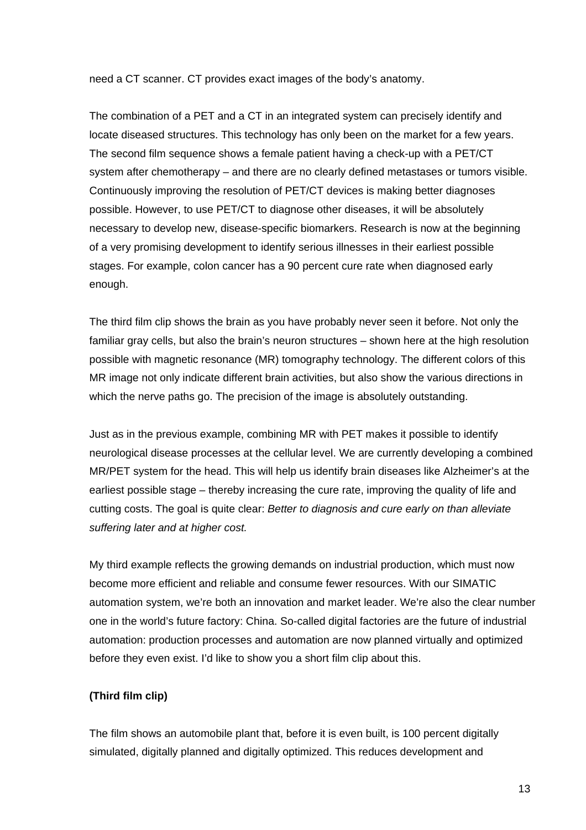need a CT scanner. CT provides exact images of the body's anatomy.

The combination of a PET and a CT in an integrated system can precisely identify and locate diseased structures. This technology has only been on the market for a few years. The second film sequence shows a female patient having a check-up with a PET/CT system after chemotherapy – and there are no clearly defined metastases or tumors visible. Continuously improving the resolution of PET/CT devices is making better diagnoses possible. However, to use PET/CT to diagnose other diseases, it will be absolutely necessary to develop new, disease-specific biomarkers. Research is now at the beginning of a very promising development to identify serious illnesses in their earliest possible stages. For example, colon cancer has a 90 percent cure rate when diagnosed early enough.

The third film clip shows the brain as you have probably never seen it before. Not only the familiar gray cells, but also the brain's neuron structures – shown here at the high resolution possible with magnetic resonance (MR) tomography technology. The different colors of this MR image not only indicate different brain activities, but also show the various directions in which the nerve paths go. The precision of the image is absolutely outstanding.

Just as in the previous example, combining MR with PET makes it possible to identify neurological disease processes at the cellular level. We are currently developing a combined MR/PET system for the head. This will help us identify brain diseases like Alzheimer's at the earliest possible stage – thereby increasing the cure rate, improving the quality of life and cutting costs. The goal is quite clear: *Better to diagnosis and cure early on than alleviate suffering later and at higher cost.* 

My third example reflects the growing demands on industrial production, which must now become more efficient and reliable and consume fewer resources. With our SIMATIC automation system, we're both an innovation and market leader. We're also the clear number one in the world's future factory: China. So-called digital factories are the future of industrial automation: production processes and automation are now planned virtually and optimized before they even exist. I'd like to show you a short film clip about this.

## **(Third film clip)**

The film shows an automobile plant that, before it is even built, is 100 percent digitally simulated, digitally planned and digitally optimized. This reduces development and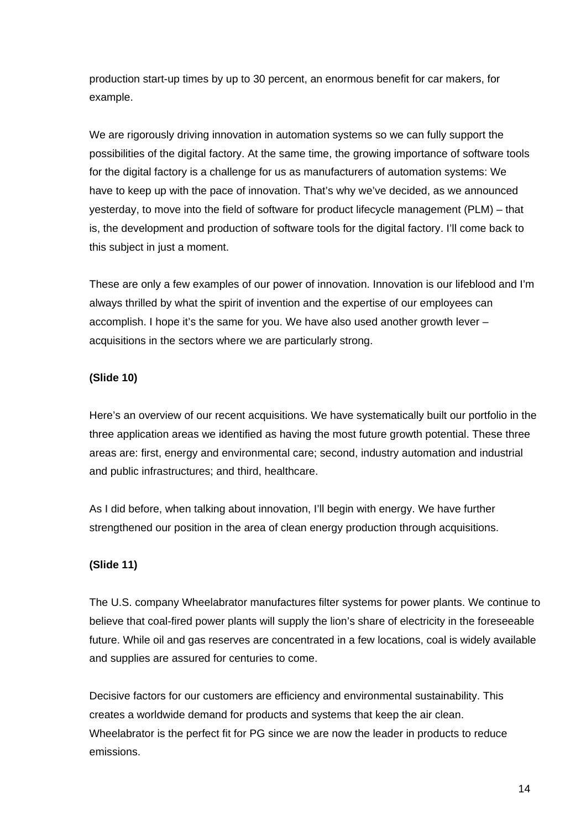production start-up times by up to 30 percent, an enormous benefit for car makers, for example.

We are rigorously driving innovation in automation systems so we can fully support the possibilities of the digital factory. At the same time, the growing importance of software tools for the digital factory is a challenge for us as manufacturers of automation systems: We have to keep up with the pace of innovation. That's why we've decided, as we announced yesterday, to move into the field of software for product lifecycle management (PLM) – that is, the development and production of software tools for the digital factory. I'll come back to this subject in just a moment.

These are only a few examples of our power of innovation. Innovation is our lifeblood and I'm always thrilled by what the spirit of invention and the expertise of our employees can accomplish. I hope it's the same for you. We have also used another growth lever – acquisitions in the sectors where we are particularly strong.

## **(Slide 10)**

Here's an overview of our recent acquisitions. We have systematically built our portfolio in the three application areas we identified as having the most future growth potential. These three areas are: first, energy and environmental care; second, industry automation and industrial and public infrastructures; and third, healthcare.

As I did before, when talking about innovation, I'll begin with energy. We have further strengthened our position in the area of clean energy production through acquisitions.

## **(Slide 11)**

The U.S. company Wheelabrator manufactures filter systems for power plants. We continue to believe that coal-fired power plants will supply the lion's share of electricity in the foreseeable future. While oil and gas reserves are concentrated in a few locations, coal is widely available and supplies are assured for centuries to come.

Decisive factors for our customers are efficiency and environmental sustainability. This creates a worldwide demand for products and systems that keep the air clean. Wheelabrator is the perfect fit for PG since we are now the leader in products to reduce emissions.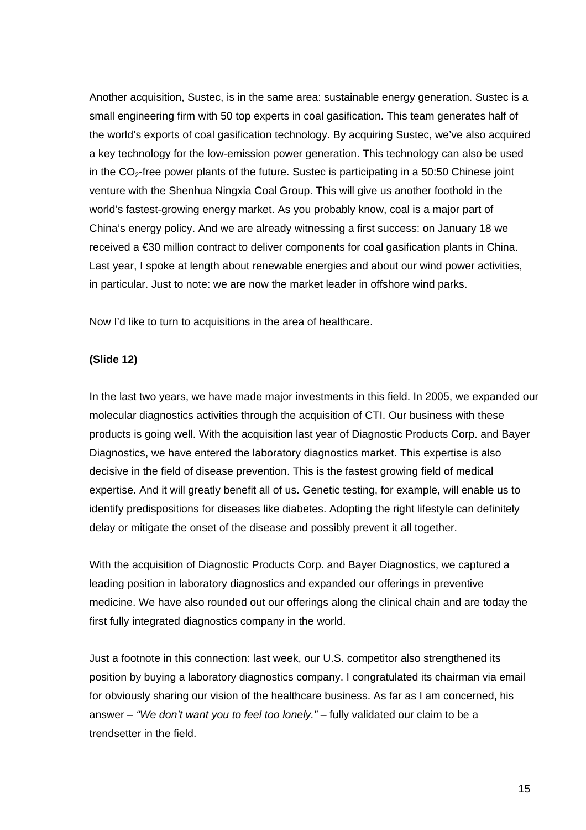Another acquisition, Sustec, is in the same area: sustainable energy generation. Sustec is a small engineering firm with 50 top experts in coal gasification. This team generates half of the world's exports of coal gasification technology. By acquiring Sustec, we've also acquired a key technology for the low-emission power generation. This technology can also be used in the  $CO<sub>2</sub>$ -free power plants of the future. Sustec is participating in a 50:50 Chinese joint venture with the Shenhua Ningxia Coal Group. This will give us another foothold in the world's fastest-growing energy market. As you probably know, coal is a major part of China's energy policy. And we are already witnessing a first success: on January 18 we received a €30 million contract to deliver components for coal gasification plants in China. Last year, I spoke at length about renewable energies and about our wind power activities, in particular. Just to note: we are now the market leader in offshore wind parks.

Now I'd like to turn to acquisitions in the area of healthcare.

#### **(Slide 12)**

In the last two years, we have made major investments in this field. In 2005, we expanded our molecular diagnostics activities through the acquisition of CTI. Our business with these products is going well. With the acquisition last year of Diagnostic Products Corp. and Bayer Diagnostics, we have entered the laboratory diagnostics market. This expertise is also decisive in the field of disease prevention. This is the fastest growing field of medical expertise. And it will greatly benefit all of us. Genetic testing, for example, will enable us to identify predispositions for diseases like diabetes. Adopting the right lifestyle can definitely delay or mitigate the onset of the disease and possibly prevent it all together.

With the acquisition of Diagnostic Products Corp. and Bayer Diagnostics, we captured a leading position in laboratory diagnostics and expanded our offerings in preventive medicine. We have also rounded out our offerings along the clinical chain and are today the first fully integrated diagnostics company in the world.

Just a footnote in this connection: last week, our U.S. competitor also strengthened its position by buying a laboratory diagnostics company. I congratulated its chairman via email for obviously sharing our vision of the healthcare business. As far as I am concerned, his answer – *"We don't want you to feel too lonely."* – fully validated our claim to be a trendsetter in the field.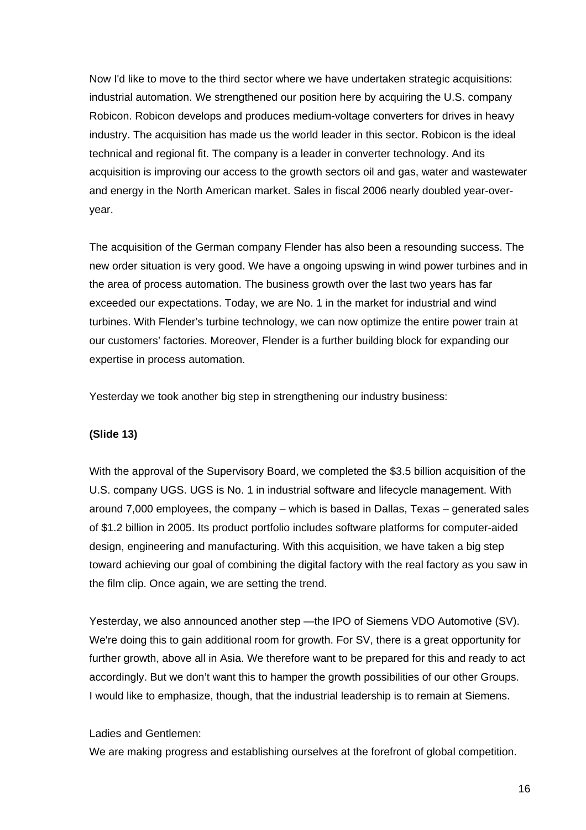Now I'd like to move to the third sector where we have undertaken strategic acquisitions: industrial automation. We strengthened our position here by acquiring the U.S. company Robicon. Robicon develops and produces medium-voltage converters for drives in heavy industry. The acquisition has made us the world leader in this sector. Robicon is the ideal technical and regional fit. The company is a leader in converter technology. And its acquisition is improving our access to the growth sectors oil and gas, water and wastewater and energy in the North American market. Sales in fiscal 2006 nearly doubled year-overyear.

The acquisition of the German company Flender has also been a resounding success. The new order situation is very good. We have a ongoing upswing in wind power turbines and in the area of process automation. The business growth over the last two years has far exceeded our expectations. Today, we are No. 1 in the market for industrial and wind turbines. With Flender's turbine technology, we can now optimize the entire power train at our customers' factories. Moreover, Flender is a further building block for expanding our expertise in process automation.

Yesterday we took another big step in strengthening our industry business:

#### **(Slide 13)**

With the approval of the Supervisory Board, we completed the \$3.5 billion acquisition of the U.S. company UGS. UGS is No. 1 in industrial software and lifecycle management. With around 7,000 employees, the company – which is based in Dallas, Texas – generated sales of \$1.2 billion in 2005. Its product portfolio includes software platforms for computer-aided design, engineering and manufacturing. With this acquisition, we have taken a big step toward achieving our goal of combining the digital factory with the real factory as you saw in the film clip. Once again, we are setting the trend.

Yesterday, we also announced another step —the IPO of Siemens VDO Automotive (SV). We're doing this to gain additional room for growth. For SV, there is a great opportunity for further growth, above all in Asia. We therefore want to be prepared for this and ready to act accordingly. But we don't want this to hamper the growth possibilities of our other Groups. I would like to emphasize, though, that the industrial leadership is to remain at Siemens.

Ladies and Gentlemen:

We are making progress and establishing ourselves at the forefront of global competition.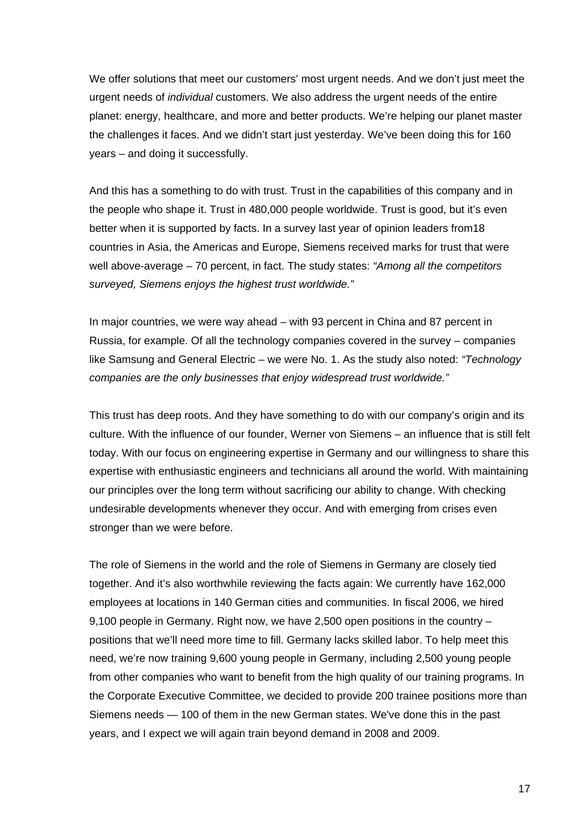We offer solutions that meet our customers' most urgent needs. And we don't just meet the urgent needs of *individual* customers. We also address the urgent needs of the entire planet: energy, healthcare, and more and better products. We're helping our planet master the challenges it faces. And we didn't start just yesterday. We've been doing this for 160 years – and doing it successfully.

And this has a something to do with trust. Trust in the capabilities of this company and in the people who shape it. Trust in 480,000 people worldwide. Trust is good, but it's even better when it is supported by facts. In a survey last year of opinion leaders from18 countries in Asia, the Americas and Europe, Siemens received marks for trust that were well above-average – 70 percent, in fact. The study states: *"Among all the competitors surveyed, Siemens enjoys the highest trust worldwide."*

In major countries, we were way ahead – with 93 percent in China and 87 percent in Russia, for example. Of all the technology companies covered in the survey – companies like Samsung and General Electric – we were No. 1. As the study also noted: *"Technology companies are the only businesses that enjoy widespread trust worldwide."*

This trust has deep roots. And they have something to do with our company's origin and its culture. With the influence of our founder, Werner von Siemens – an influence that is still felt today. With our focus on engineering expertise in Germany and our willingness to share this expertise with enthusiastic engineers and technicians all around the world. With maintaining our principles over the long term without sacrificing our ability to change. With checking undesirable developments whenever they occur. And with emerging from crises even stronger than we were before.

The role of Siemens in the world and the role of Siemens in Germany are closely tied together. And it's also worthwhile reviewing the facts again: We currently have 162,000 employees at locations in 140 German cities and communities. In fiscal 2006, we hired 9,100 people in Germany. Right now, we have 2,500 open positions in the country – positions that we'll need more time to fill. Germany lacks skilled labor. To help meet this need, we're now training 9,600 young people in Germany, including 2,500 young people from other companies who want to benefit from the high quality of our training programs. In the Corporate Executive Committee, we decided to provide 200 trainee positions more than Siemens needs — 100 of them in the new German states. We've done this in the past years, and I expect we will again train beyond demand in 2008 and 2009.